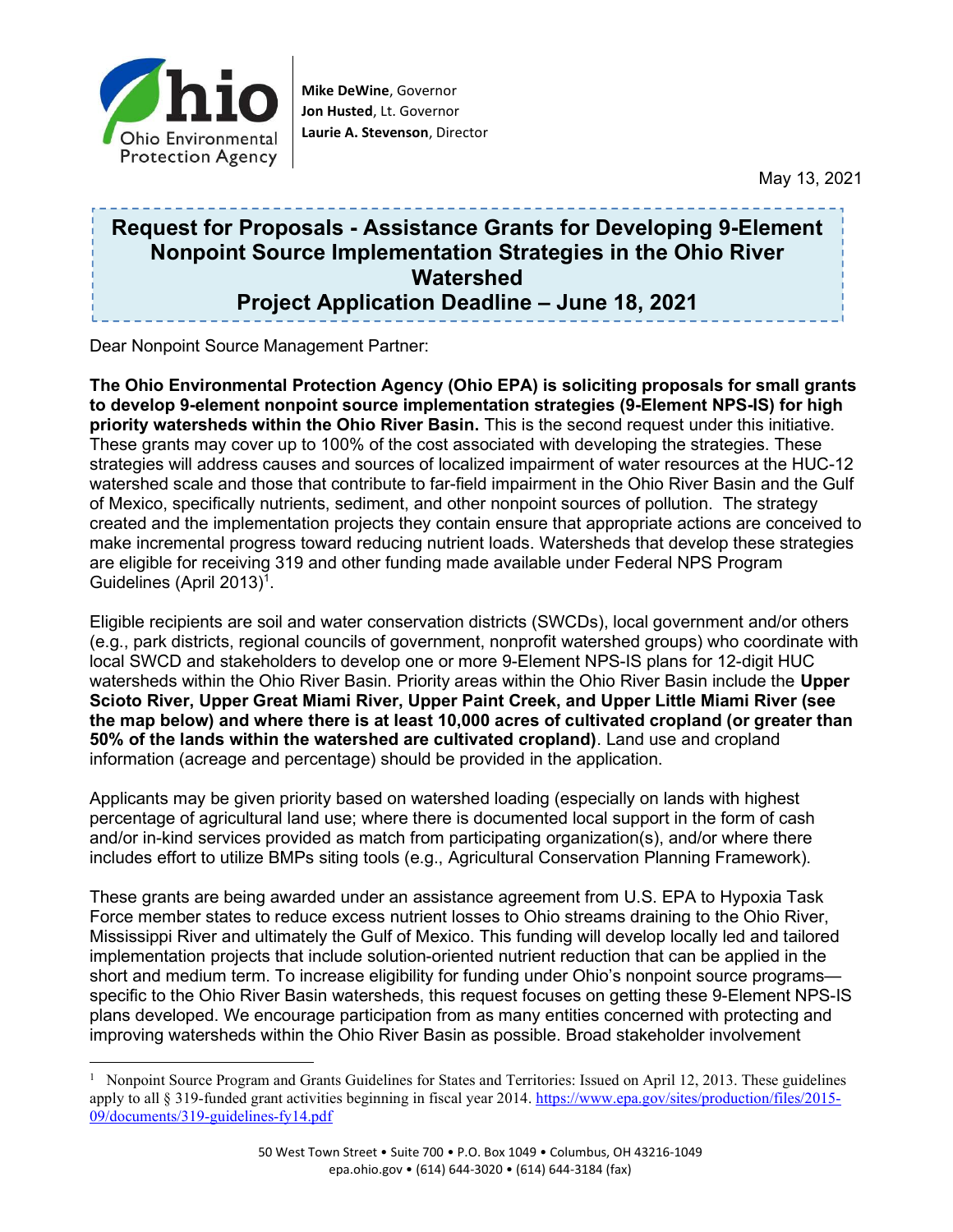

Mike DeWine, Governor Jon Husted, Lt. Governor Laurie A. Stevenson, Director

May 13, 2021

## Request for Proposals - Assistance Grants for Developing 9-Element Nonpoint Source Implementation Strategies in the Ohio River Watershed Project Application Deadline – June 18, 2021

Dear Nonpoint Source Management Partner:

The Ohio Environmental Protection Agency (Ohio EPA) is soliciting proposals for small grants to develop 9-element nonpoint source implementation strategies (9-Element NPS-IS) for high priority watersheds within the Ohio River Basin. This is the second request under this initiative. These grants may cover up to 100% of the cost associated with developing the strategies. These strategies will address causes and sources of localized impairment of water resources at the HUC-12 watershed scale and those that contribute to far-field impairment in the Ohio River Basin and the Gulf of Mexico, specifically nutrients, sediment, and other nonpoint sources of pollution. The strategy created and the implementation projects they contain ensure that appropriate actions are conceived to make incremental progress toward reducing nutrient loads. Watersheds that develop these strategies are eligible for receiving 319 and other funding made available under Federal NPS Program Guidelines (April 2013)<sup>1</sup>.

Eligible recipients are soil and water conservation districts (SWCDs), local government and/or others (e.g., park districts, regional councils of government, nonprofit watershed groups) who coordinate with local SWCD and stakeholders to develop one or more 9-Element NPS-IS plans for 12-digit HUC watersheds within the Ohio River Basin. Priority areas within the Ohio River Basin include the Upper Scioto River, Upper Great Miami River, Upper Paint Creek, and Upper Little Miami River (see the map below) and where there is at least 10,000 acres of cultivated cropland (or greater than 50% of the lands within the watershed are cultivated cropland). Land use and cropland information (acreage and percentage) should be provided in the application.

Applicants may be given priority based on watershed loading (especially on lands with highest percentage of agricultural land use; where there is documented local support in the form of cash and/or in-kind services provided as match from participating organization(s), and/or where there includes effort to utilize BMPs siting tools (e.g., Agricultural Conservation Planning Framework).

These grants are being awarded under an assistance agreement from U.S. EPA to Hypoxia Task Force member states to reduce excess nutrient losses to Ohio streams draining to the Ohio River, Mississippi River and ultimately the Gulf of Mexico. This funding will develop locally led and tailored implementation projects that include solution-oriented nutrient reduction that can be applied in the short and medium term. To increase eligibility for funding under Ohio's nonpoint source programs specific to the Ohio River Basin watersheds, this request focuses on getting these 9-Element NPS-IS plans developed. We encourage participation from as many entities concerned with protecting and improving watersheds within the Ohio River Basin as possible. Broad stakeholder involvement

<sup>&</sup>lt;sup>1</sup> Nonpoint Source Program and Grants Guidelines for States and Territories: Issued on April 12, 2013. These guidelines apply to all § 319-funded grant activities beginning in fiscal year 2014. https://www.epa.gov/sites/production/files/2015- 09/documents/319-guidelines-fy14.pdf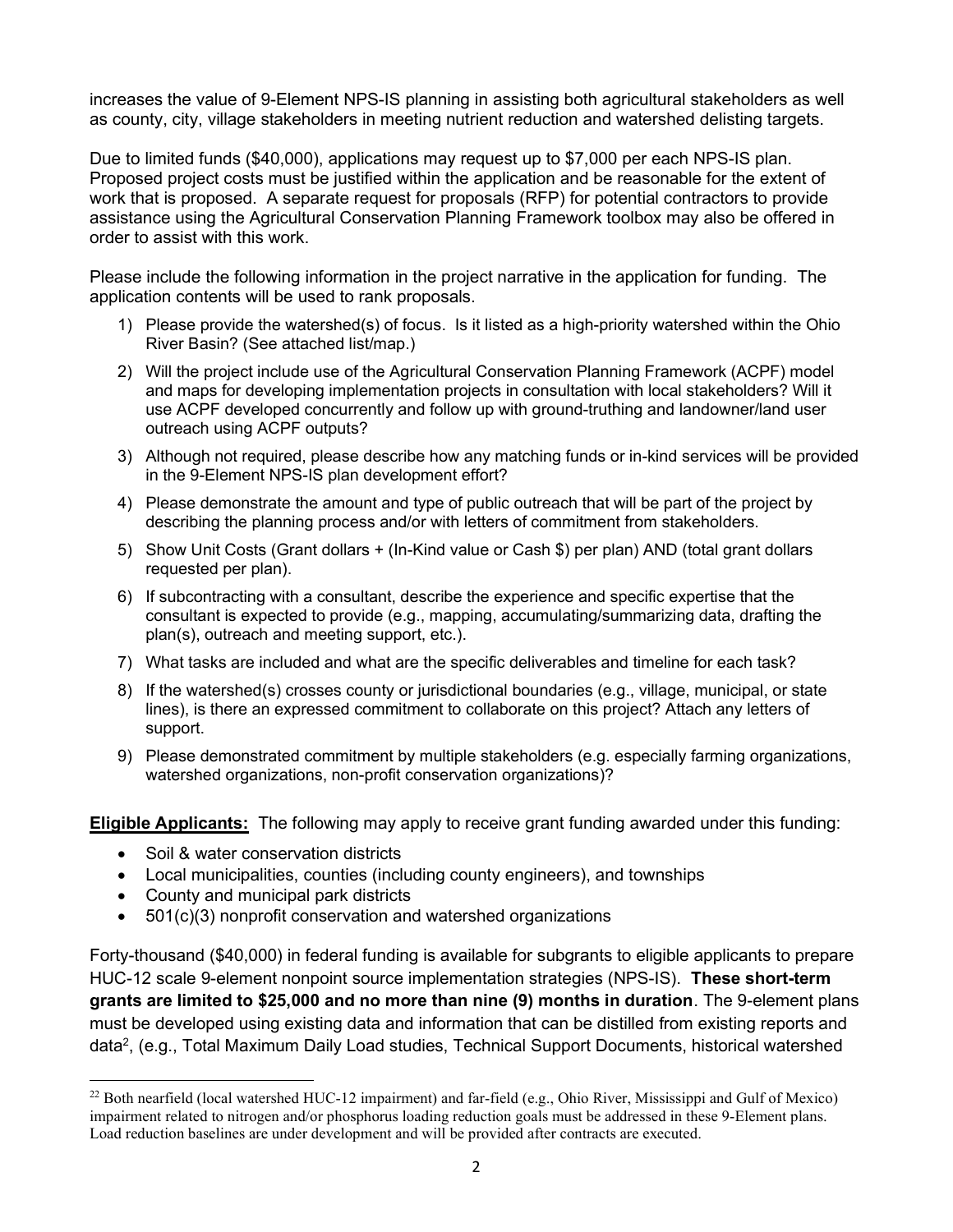increases the value of 9-Element NPS-IS planning in assisting both agricultural stakeholders as well as county, city, village stakeholders in meeting nutrient reduction and watershed delisting targets.

Due to limited funds (\$40,000), applications may request up to \$7,000 per each NPS-IS plan. Proposed project costs must be justified within the application and be reasonable for the extent of work that is proposed. A separate request for proposals (RFP) for potential contractors to provide assistance using the Agricultural Conservation Planning Framework toolbox may also be offered in order to assist with this work.

Please include the following information in the project narrative in the application for funding. The application contents will be used to rank proposals.

- 1) Please provide the watershed(s) of focus. Is it listed as a high-priority watershed within the Ohio River Basin? (See attached list/map.)
- 2) Will the project include use of the Agricultural Conservation Planning Framework (ACPF) model and maps for developing implementation projects in consultation with local stakeholders? Will it use ACPF developed concurrently and follow up with ground-truthing and landowner/land user outreach using ACPF outputs?
- 3) Although not required, please describe how any matching funds or in-kind services will be provided in the 9-Element NPS-IS plan development effort?
- 4) Please demonstrate the amount and type of public outreach that will be part of the project by describing the planning process and/or with letters of commitment from stakeholders.
- 5) Show Unit Costs (Grant dollars + (In-Kind value or Cash \$) per plan) AND (total grant dollars requested per plan).
- 6) If subcontracting with a consultant, describe the experience and specific expertise that the consultant is expected to provide (e.g., mapping, accumulating/summarizing data, drafting the plan(s), outreach and meeting support, etc.).
- 7) What tasks are included and what are the specific deliverables and timeline for each task?
- 8) If the watershed(s) crosses county or jurisdictional boundaries (e.g., village, municipal, or state lines), is there an expressed commitment to collaborate on this project? Attach any letters of support.
- 9) Please demonstrated commitment by multiple stakeholders (e.g. especially farming organizations, watershed organizations, non-profit conservation organizations)?

Eligible Applicants: The following may apply to receive grant funding awarded under this funding:

- Soil & water conservation districts
- Local municipalities, counties (including county engineers), and townships
- County and municipal park districts
- 501(c)(3) nonprofit conservation and watershed organizations

Forty-thousand (\$40,000) in federal funding is available for subgrants to eligible applicants to prepare HUC-12 scale 9-element nonpoint source implementation strategies (NPS-IS). These short-term grants are limited to \$25,000 and no more than nine (9) months in duration. The 9-element plans must be developed using existing data and information that can be distilled from existing reports and data<sup>2</sup>, (e.g., Total Maximum Daily Load studies, Technical Support Documents, historical watershed

<sup>&</sup>lt;sup>22</sup> Both nearfield (local watershed HUC-12 impairment) and far-field (e.g., Ohio River, Mississippi and Gulf of Mexico) impairment related to nitrogen and/or phosphorus loading reduction goals must be addressed in these 9-Element plans. Load reduction baselines are under development and will be provided after contracts are executed.